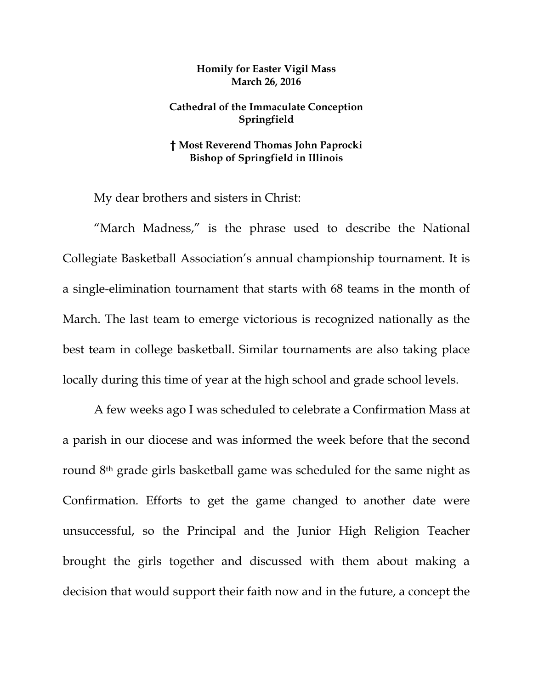## **Homily for Easter Vigil Mass March 26, 2016**

## **Cathedral of the Immaculate Conception Springfield**

## **† Most Reverend Thomas John Paprocki Bishop of Springfield in Illinois**

My dear brothers and sisters in Christ:

"March Madness," is the phrase used to describe the National Collegiate Basketball Association's annual championship tournament. It is a single-elimination tournament that starts with 68 teams in the month of March. The last team to emerge victorious is recognized nationally as the best team in college basketball. Similar tournaments are also taking place locally during this time of year at the high school and grade school levels.

A few weeks ago I was scheduled to celebrate a Confirmation Mass at a parish in our diocese and was informed the week before that the second round 8th grade girls basketball game was scheduled for the same night as Confirmation. Efforts to get the game changed to another date were unsuccessful, so the Principal and the Junior High Religion Teacher brought the girls together and discussed with them about making a decision that would support their faith now and in the future, a concept the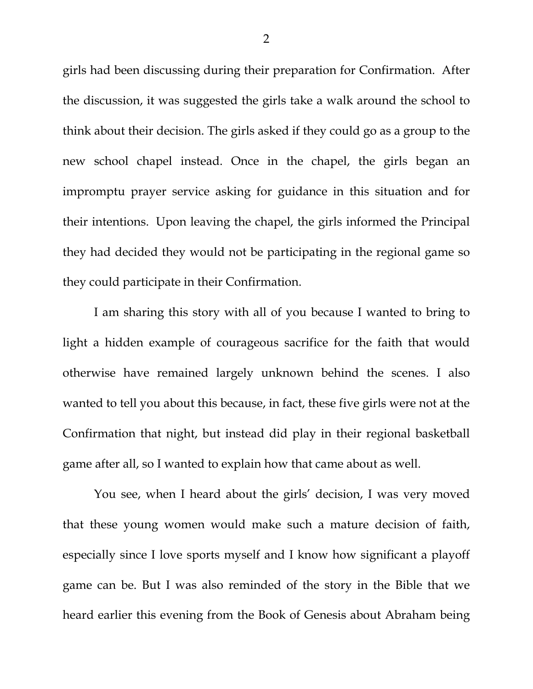girls had been discussing during their preparation for Confirmation. After the discussion, it was suggested the girls take a walk around the school to think about their decision. The girls asked if they could go as a group to the new school chapel instead. Once in the chapel, the girls began an impromptu prayer service asking for guidance in this situation and for their intentions. Upon leaving the chapel, the girls informed the Principal they had decided they would not be participating in the regional game so they could participate in their Confirmation.

I am sharing this story with all of you because I wanted to bring to light a hidden example of courageous sacrifice for the faith that would otherwise have remained largely unknown behind the scenes. I also wanted to tell you about this because, in fact, these five girls were not at the Confirmation that night, but instead did play in their regional basketball game after all, so I wanted to explain how that came about as well.

 You see, when I heard about the girls' decision, I was very moved that these young women would make such a mature decision of faith, especially since I love sports myself and I know how significant a playoff game can be. But I was also reminded of the story in the Bible that we heard earlier this evening from the Book of Genesis about Abraham being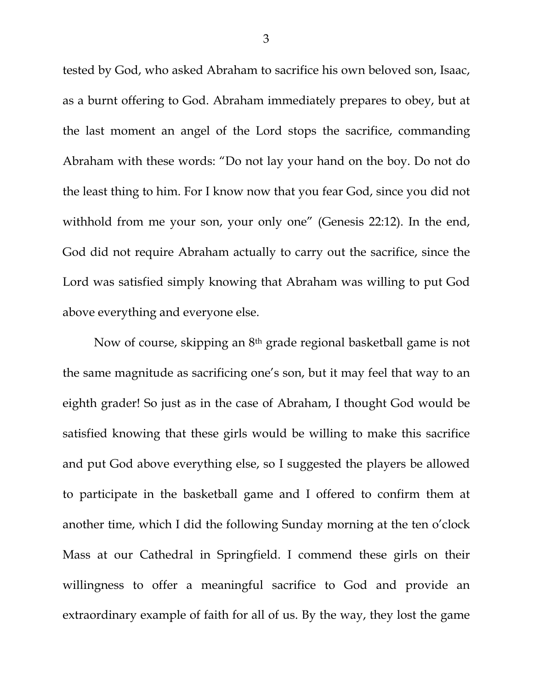tested by God, who asked Abraham to sacrifice his own beloved son, Isaac, as a burnt offering to God. Abraham immediately prepares to obey, but at the last moment an angel of the Lord stops the sacrifice, commanding Abraham with these words: "Do not lay your hand on the boy. Do not do the least thing to him. For I know now that you fear God, since you did not withhold from me your son, your only one" (Genesis 22:12). In the end, God did not require Abraham actually to carry out the sacrifice, since the Lord was satisfied simply knowing that Abraham was willing to put God above everything and everyone else.

 Now of course, skipping an 8th grade regional basketball game is not the same magnitude as sacrificing one's son, but it may feel that way to an eighth grader! So just as in the case of Abraham, I thought God would be satisfied knowing that these girls would be willing to make this sacrifice and put God above everything else, so I suggested the players be allowed to participate in the basketball game and I offered to confirm them at another time, which I did the following Sunday morning at the ten o'clock Mass at our Cathedral in Springfield. I commend these girls on their willingness to offer a meaningful sacrifice to God and provide an extraordinary example of faith for all of us. By the way, they lost the game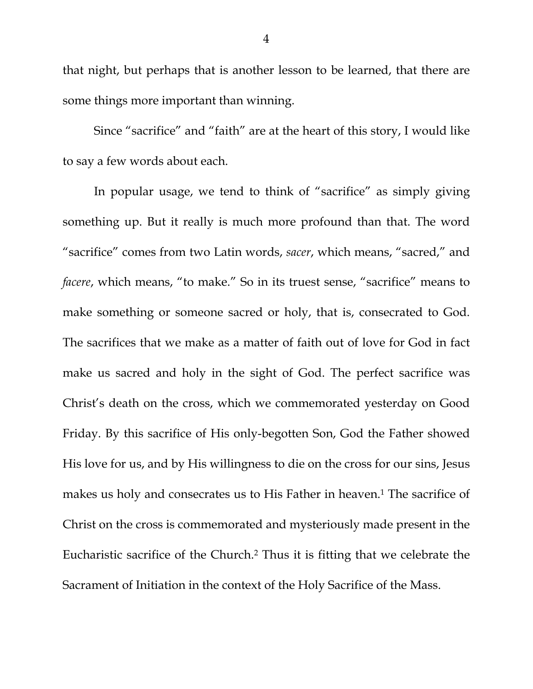that night, but perhaps that is another lesson to be learned, that there are some things more important than winning.

 Since "sacrifice" and "faith" are at the heart of this story, I would like to say a few words about each.

In popular usage, we tend to think of "sacrifice" as simply giving something up. But it really is much more profound than that. The word "sacrifice" comes from two Latin words, *sacer*, which means, "sacred," and *facere*, which means, "to make." So in its truest sense, "sacrifice" means to make something or someone sacred or holy, that is, consecrated to God. The sacrifices that we make as a matter of faith out of love for God in fact make us sacred and holy in the sight of God. The perfect sacrifice was Christ's death on the cross, which we commemorated yesterday on Good Friday. By this sacrifice of His only-begotten Son, God the Father showed His love for us, and by His willingness to die on the cross for our sins, Jesus makes us holy and consecrates us to His Father in heaven.<sup>1</sup> The sacrifice of Christ on the cross is commemorated and mysteriously made present in the Eucharistic sacrifice of the Church.2 Thus it is fitting that we celebrate the Sacrament of Initiation in the context of the Holy Sacrifice of the Mass.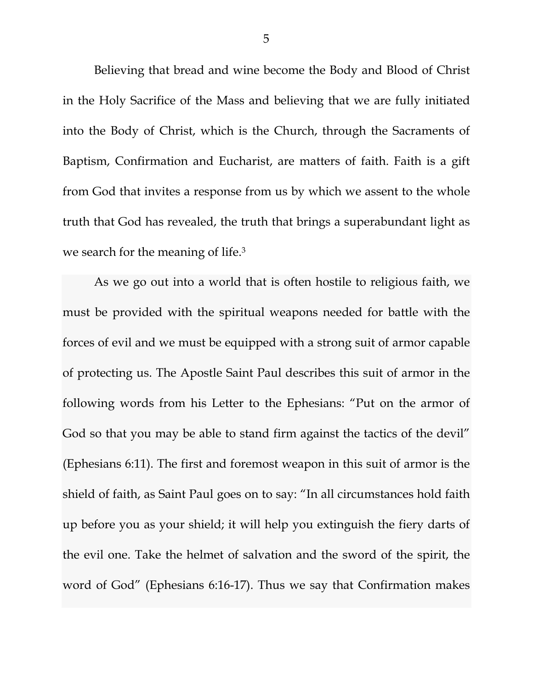Believing that bread and wine become the Body and Blood of Christ in the Holy Sacrifice of the Mass and believing that we are fully initiated into the Body of Christ, which is the Church, through the Sacraments of Baptism, Confirmation and Eucharist, are matters of faith. Faith is a gift from God that invites a response from us by which we assent to the whole truth that God has revealed, the truth that brings a superabundant light as we search for the meaning of life.3

As we go out into a world that is often hostile to religious faith, we must be provided with the spiritual weapons needed for battle with the forces of evil and we must be equipped with a strong suit of armor capable of protecting us. The Apostle Saint Paul describes this suit of armor in the following words from his Letter to the Ephesians: "Put on the armor of God so that you may be able to stand firm against the tactics of the devil" (Ephesians 6:11). The first and foremost weapon in this suit of armor is the shield of faith, as Saint Paul goes on to say: "In all circumstances hold faith up before you as your shield; it will help you extinguish the fiery darts of the evil one. Take the helmet of salvation and the sword of the spirit, the word of God" (Ephesians 6:16-17). Thus we say that Confirmation makes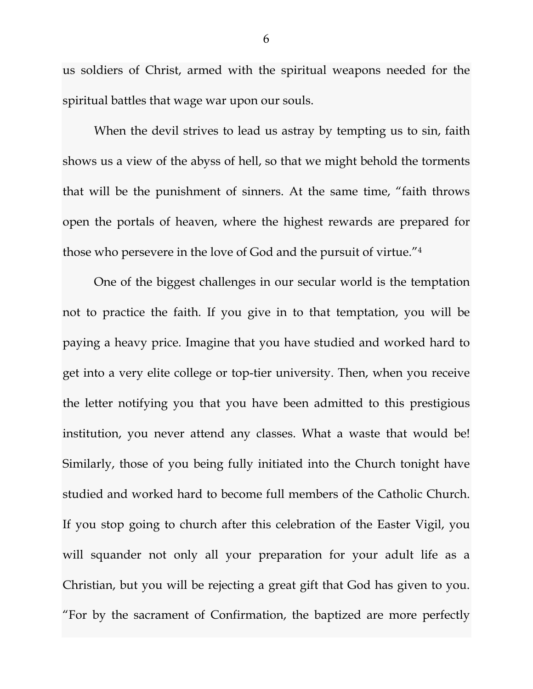us soldiers of Christ, armed with the spiritual weapons needed for the spiritual battles that wage war upon our souls.

When the devil strives to lead us astray by tempting us to sin, faith shows us a view of the abyss of hell, so that we might behold the torments that will be the punishment of sinners. At the same time, "faith throws open the portals of heaven, where the highest rewards are prepared for those who persevere in the love of God and the pursuit of virtue."4

One of the biggest challenges in our secular world is the temptation not to practice the faith. If you give in to that temptation, you will be paying a heavy price. Imagine that you have studied and worked hard to get into a very elite college or top-tier university. Then, when you receive the letter notifying you that you have been admitted to this prestigious institution, you never attend any classes. What a waste that would be! Similarly, those of you being fully initiated into the Church tonight have studied and worked hard to become full members of the Catholic Church. If you stop going to church after this celebration of the Easter Vigil, you will squander not only all your preparation for your adult life as a Christian, but you will be rejecting a great gift that God has given to you. "For by the sacrament of Confirmation, the baptized are more perfectly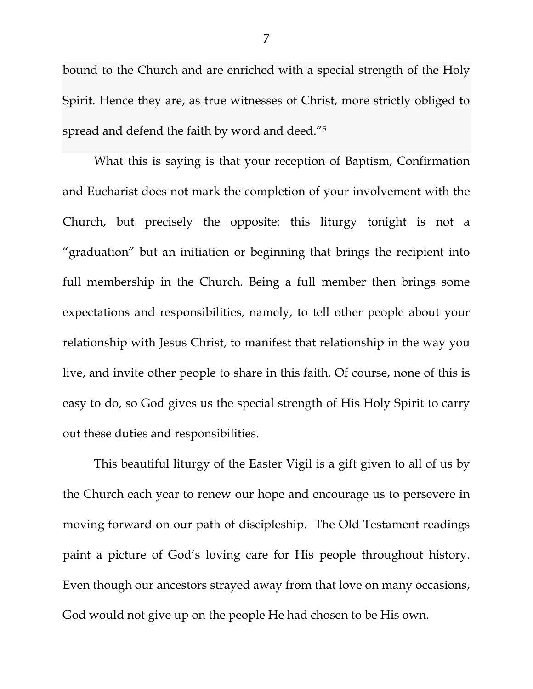bound to the Church and are enriched with a special strength of the Holy Spirit. Hence they are, as true witnesses of Christ, more strictly obliged to spread and defend the faith by word and deed."5

What this is saying is that your reception of Baptism, Confirmation and Eucharist does not mark the completion of your involvement with the Church, but precisely the opposite: this liturgy tonight is not a "graduation" but an initiation or beginning that brings the recipient into full membership in the Church. Being a full member then brings some expectations and responsibilities, namely, to tell other people about your relationship with Jesus Christ, to manifest that relationship in the way you live, and invite other people to share in this faith. Of course, none of this is easy to do, so God gives us the special strength of His Holy Spirit to carry out these duties and responsibilities.

 This beautiful liturgy of the Easter Vigil is a gift given to all of us by the Church each year to renew our hope and encourage us to persevere in moving forward on our path of discipleship. The Old Testament readings paint a picture of God's loving care for His people throughout history. Even though our ancestors strayed away from that love on many occasions, God would not give up on the people He had chosen to be His own.